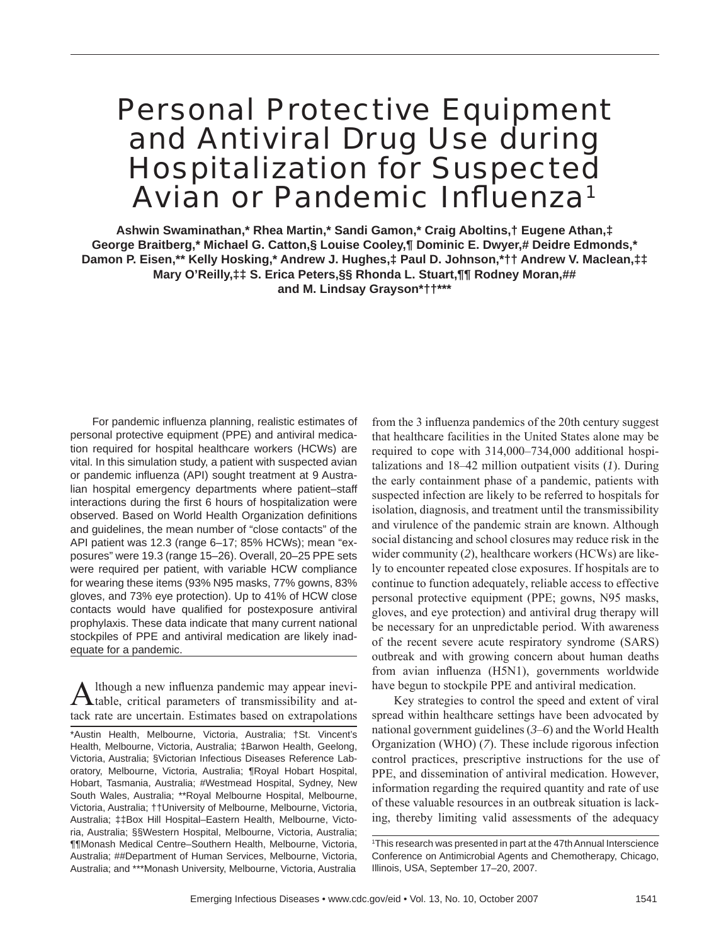# Personal Protective Equipment and Antiviral Drug Use during Hospitalization for Suspected Avian or Pandemic Influenza<sup>1</sup>

**Ashwin Swaminathan,\* Rhea Martin,\* Sandi Gamon,\* Craig Aboltins,† Eugene Athan,‡ George Braitberg,\* Michael G. Catton,§ Louise Cooley,¶ Dominic E. Dwyer,# Deidre Edmonds,\* Damon P. Eisen,\*\* Kelly Hosking,\* Andrew J. Hughes,‡ Paul D. Johnson,\*†† Andrew V. Maclean,‡‡ Mary O'Reilly,‡‡ S. Erica Peters,§§ Rhonda L. Stuart,¶¶ Rodney Moran,## and M. Lindsay Grayson\*††\*\*\***

For pandemic influenza planning, realistic estimates of personal protective equipment (PPE) and antiviral medication required for hospital healthcare workers (HCWs) are vital. In this simulation study, a patient with suspected avian or pandemic influenza (API) sought treatment at 9 Australian hospital emergency departments where patient–staff interactions during the first 6 hours of hospitalization were observed. Based on World Health Organization definitions and guidelines, the mean number of "close contacts" of the API patient was 12.3 (range 6–17; 85% HCWs); mean "exposures" were 19.3 (range 15–26). Overall, 20–25 PPE sets were required per patient, with variable HCW compliance for wearing these items (93% N95 masks, 77% gowns, 83% gloves, and 73% eye protection). Up to 41% of HCW close contacts would have qualified for postexposure antiviral prophylaxis. These data indicate that many current national stockpiles of PPE and antiviral medication are likely inadequate for a pandemic.

Although a new influenza pandemic may appear inevi-<br>Atable, critical parameters of transmissibility and attack rate are uncertain. Estimates based on extrapolations

from the 3 influenza pandemics of the 20th century suggest that healthcare facilities in the United States alone may be required to cope with 314,000–734,000 additional hospitalizations and 18–42 million outpatient visits (*1*). During the early containment phase of a pandemic, patients with suspected infection are likely to be referred to hospitals for isolation, diagnosis, and treatment until the transmissibility and virulence of the pandemic strain are known. Although social distancing and school closures may reduce risk in the wider community (2), healthcare workers (HCWs) are likely to encounter repeated close exposures. If hospitals are to continue to function adequately, reliable access to effective personal protective equipment (PPE; gowns, N95 masks, gloves, and eye protection) and antiviral drug therapy will be necessary for an unpredictable period. With awareness of the recent severe acute respiratory syndrome (SARS) outbreak and with growing concern about human deaths from avian influenza (H5N1), governments worldwide have begun to stockpile PPE and antiviral medication.

Key strategies to control the speed and extent of viral spread within healthcare settings have been advocated by national government guidelines (*3*–*6*) and the World Health Organization (WHO) (*7*). These include rigorous infection control practices, prescriptive instructions for the use of PPE, and dissemination of antiviral medication. However, information regarding the required quantity and rate of use of these valuable resources in an outbreak situation is lacking, thereby limiting valid assessments of the adequacy

<sup>\*</sup>Austin Health, Melbourne, Victoria, Australia; †St. Vincent's Health, Melbourne, Victoria, Australia; ‡Barwon Health, Geelong, Victoria, Australia; §Victorian Infectious Diseases Reference Laboratory, Melbourne, Victoria, Australia; ¶Royal Hobart Hospital, Hobart, Tasmania, Australia; #Westmead Hospital, Sydney, New South Wales, Australia; \*\*Royal Melbourne Hospital, Melbourne, Victoria, Australia; ††University of Melbourne, Melbourne, Victoria, Australia; ‡‡Box Hill Hospital–Eastern Health, Melbourne, Victoria, Australia; §§Western Hospital, Melbourne, Victoria, Australia; ¶¶Monash Medical Centre–Southern Health, Melbourne, Victoria, Australia; ##Department of Human Services, Melbourne, Victoria, Australia; and \*\*\*Monash University, Melbourne, Victoria, Australia

<sup>1</sup> This research was presented in part at the 47th Annual Interscience Conference on Antimicrobial Agents and Chemotherapy, Chicago, Illinois, USA, September 17–20, 2007.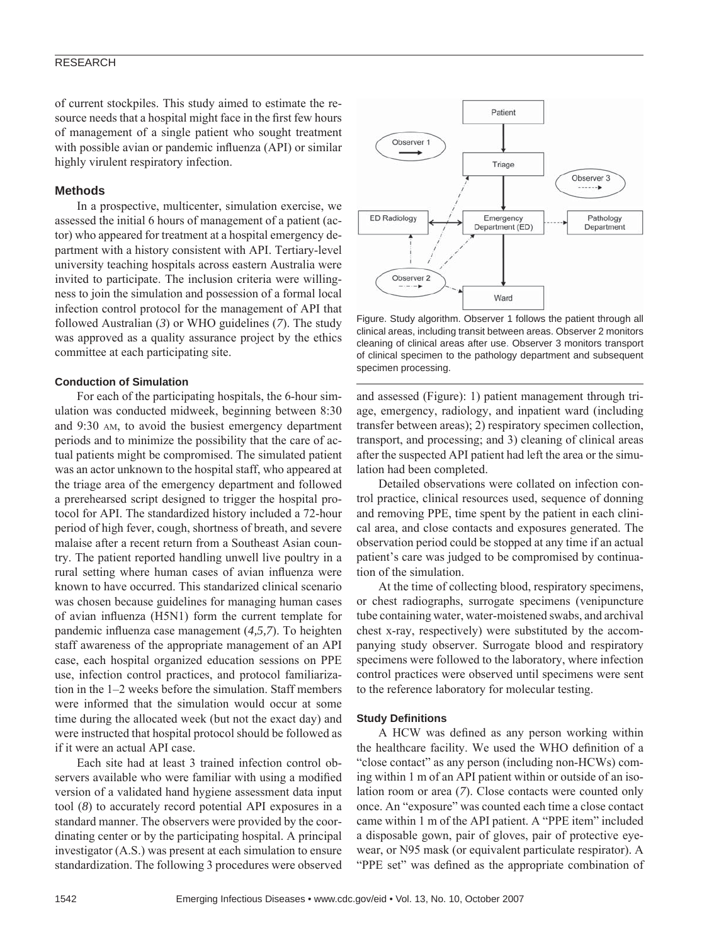## RESEARCH

of current stockpiles. This study aimed to estimate the resource needs that a hospital might face in the first few hours of management of a single patient who sought treatment with possible avian or pandemic influenza (API) or similar highly virulent respiratory infection.

# **Methods**

In a prospective, multicenter, simulation exercise, we assessed the initial 6 hours of management of a patient (actor) who appeared for treatment at a hospital emergency department with a history consistent with API. Tertiary-level university teaching hospitals across eastern Australia were invited to participate. The inclusion criteria were willingness to join the simulation and possession of a formal local infection control protocol for the management of API that followed Australian (*3*) or WHO guidelines (*7*). The study was approved as a quality assurance project by the ethics committee at each participating site.

## **Conduction of Simulation**

For each of the participating hospitals, the 6-hour simulation was conducted midweek, beginning between 8:30 and 9:30 AM, to avoid the busiest emergency department periods and to minimize the possibility that the care of actual patients might be compromised. The simulated patient was an actor unknown to the hospital staff, who appeared at the triage area of the emergency department and followed a prerehearsed script designed to trigger the hospital protocol for API. The standardized history included a 72-hour period of high fever, cough, shortness of breath, and severe malaise after a recent return from a Southeast Asian country. The patient reported handling unwell live poultry in a rural setting where human cases of avian influenza were known to have occurred. This standarized clinical scenario was chosen because guidelines for managing human cases of avian influenza (H5N1) form the current template for pandemic influenza case management (4,5,7). To heighten staff awareness of the appropriate management of an API case, each hospital organized education sessions on PPE use, infection control practices, and protocol familiarization in the 1–2 weeks before the simulation. Staff members were informed that the simulation would occur at some time during the allocated week (but not the exact day) and were instructed that hospital protocol should be followed as if it were an actual API case.

Each site had at least 3 trained infection control observers available who were familiar with using a modified version of a validated hand hygiene assessment data input tool (*8*) to accurately record potential API exposures in a standard manner. The observers were provided by the coordinating center or by the participating hospital. A principal investigator (A.S.) was present at each simulation to ensure standardization. The following 3 procedures were observed



Figure. Study algorithm. Observer 1 follows the patient through all clinical areas, including transit between areas. Observer 2 monitors cleaning of clinical areas after use. Observer 3 monitors transport of clinical specimen to the pathology department and subsequent specimen processing.

and assessed (Figure): 1) patient management through triage, emergency, radiology, and inpatient ward (including transfer between areas); 2) respiratory specimen collection, transport, and processing; and 3) cleaning of clinical areas after the suspected API patient had left the area or the simulation had been completed.

Detailed observations were collated on infection control practice, clinical resources used, sequence of donning and removing PPE, time spent by the patient in each clinical area, and close contacts and exposures generated. The observation period could be stopped at any time if an actual patient's care was judged to be compromised by continuation of the simulation.

At the time of collecting blood, respiratory specimens, or chest radiographs, surrogate specimens (venipuncture tube containing water, water-moistened swabs, and archival chest x-ray, respectively) were substituted by the accompanying study observer. Surrogate blood and respiratory specimens were followed to the laboratory, where infection control practices were observed until specimens were sent to the reference laboratory for molecular testing.

#### **Study Definitions**

A HCW was defined as any person working within the healthcare facility. We used the WHO definition of a "close contact" as any person (including non-HCWs) coming within 1 m of an API patient within or outside of an isolation room or area (*7*). Close contacts were counted only once. An "exposure" was counted each time a close contact came within 1 m of the API patient. A "PPE item" included a disposable gown, pair of gloves, pair of protective eyewear, or N95 mask (or equivalent particulate respirator). A "PPE set" was defined as the appropriate combination of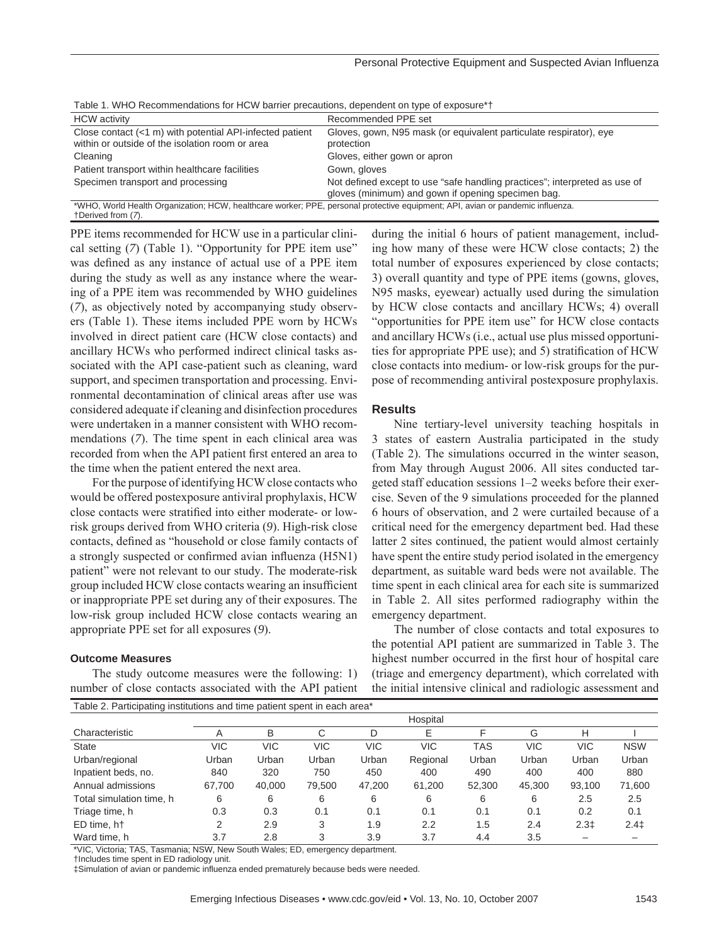| Table 1. YVITO INCOMMINIBURGEOID TOTTIOYY DAMICI PROGRESSING, GOPONGOIR ON RYPO OF CAPOGUIO                                                          |                                                                                                                                  |  |  |  |  |  |  |
|------------------------------------------------------------------------------------------------------------------------------------------------------|----------------------------------------------------------------------------------------------------------------------------------|--|--|--|--|--|--|
| <b>HCW</b> activity                                                                                                                                  | Recommended PPE set                                                                                                              |  |  |  |  |  |  |
| Close contact $(<1$ m) with potential API-infected patient<br>within or outside of the isolation room or area                                        | Gloves, gown, N95 mask (or equivalent particulate respirator), eye<br>protection                                                 |  |  |  |  |  |  |
| Cleaning                                                                                                                                             | Gloves, either gown or apron                                                                                                     |  |  |  |  |  |  |
| Patient transport within healthcare facilities                                                                                                       | Gown, gloves                                                                                                                     |  |  |  |  |  |  |
| Specimen transport and processing                                                                                                                    | Not defined except to use "safe handling practices"; interpreted as use of<br>gloves (minimum) and gown if opening specimen bag. |  |  |  |  |  |  |
| *WHO, World Health Organization; HCW, healthcare worker; PPE, personal protective equipment; API, avian or pandemic influenza.<br>+Derived from (7). |                                                                                                                                  |  |  |  |  |  |  |
|                                                                                                                                                      |                                                                                                                                  |  |  |  |  |  |  |

Table 1. WHO Recommendations for HCW barrier precautions, dependent on type of exposure\*†

PPE items recommended for HCW use in a particular clinical setting (*7*) (Table 1). "Opportunity for PPE item use" was defined as any instance of actual use of a PPE item during the study as well as any instance where the wearing of a PPE item was recommended by WHO guidelines (*7*), as objectively noted by accompanying study observers (Table 1). These items included PPE worn by HCWs involved in direct patient care (HCW close contacts) and ancillary HCWs who performed indirect clinical tasks associated with the API case-patient such as cleaning, ward support, and specimen transportation and processing. Environmental decontamination of clinical areas after use was considered adequate if cleaning and disinfection procedures were undertaken in a manner consistent with WHO recommendations (*7*). The time spent in each clinical area was recorded from when the API patient first entered an area to the time when the patient entered the next area.

For the purpose of identifying HCW close contacts who would be offered postexposure antiviral prophylaxis, HCW close contacts were stratified into either moderate- or lowrisk groups derived from WHO criteria (*9*). High-risk close contacts, defined as "household or close family contacts of a strongly suspected or confirmed avian influenza (H5N1) patient" were not relevant to our study. The moderate-risk group included HCW close contacts wearing an insufficient or inappropriate PPE set during any of their exposures. The low-risk group included HCW close contacts wearing an appropriate PPE set for all exposures (*9*).

## **Outcome Measures**

The study outcome measures were the following: 1) number of close contacts associated with the API patient Table 2. Participating institutions and time patient spent in each area\*

during the initial 6 hours of patient management, including how many of these were HCW close contacts; 2) the total number of exposures experienced by close contacts; 3) overall quantity and type of PPE items (gowns, gloves, N95 masks, eyewear) actually used during the simulation by HCW close contacts and ancillary HCWs; 4) overall "opportunities for PPE item use" for HCW close contacts and ancillary HCWs (i.e., actual use plus missed opportunities for appropriate PPE use); and 5) stratification of HCW close contacts into medium- or low-risk groups for the purpose of recommending antiviral postexposure prophylaxis.

#### **Results**

Nine tertiary-level university teaching hospitals in 3 states of eastern Australia participated in the study (Table 2). The simulations occurred in the winter season, from May through August 2006. All sites conducted targeted staff education sessions 1–2 weeks before their exercise. Seven of the 9 simulations proceeded for the planned 6 hours of observation, and 2 were curtailed because of a critical need for the emergency department bed. Had these latter 2 sites continued, the patient would almost certainly have spent the entire study period isolated in the emergency department, as suitable ward beds were not available. The time spent in each clinical area for each site is summarized in Table 2. All sites performed radiography within the emergency department.

The number of close contacts and total exposures to the potential API patient are summarized in Table 3. The highest number occurred in the first hour of hospital care (triage and emergency department), which correlated with the initial intensive clinical and radiologic assessment and

| rable 2. Famolpating motitutions and time patient spent in each area |          |        |        |        |          |        |        |        |            |  |
|----------------------------------------------------------------------|----------|--------|--------|--------|----------|--------|--------|--------|------------|--|
|                                                                      | Hospital |        |        |        |          |        |        |        |            |  |
| Characteristic                                                       | Α        | B      | С      | D      | Е        | F      | G      | н      |            |  |
| State                                                                | VIC      | VIC    | VIC    | VIC    | VIC      | TAS    | VIC    | VIC    | <b>NSW</b> |  |
| Urban/regional                                                       | Urban    | Urban  | Urban  | Urban  | Regional | Urban  | Urban  | Urban  | Urban      |  |
| Inpatient beds, no.                                                  | 840      | 320    | 750    | 450    | 400      | 490    | 400    | 400    | 880        |  |
| Annual admissions                                                    | 67,700   | 40,000 | 79.500 | 47.200 | 61,200   | 52,300 | 45,300 | 93,100 | 71,600     |  |
| Total simulation time, h                                             | 6        | 6      | 6      | 6      | 6        | 6      | 6      | 2.5    | 2.5        |  |
| Triage time, h                                                       | 0.3      | 0.3    | 0.1    | 0.1    | 0.1      | 0.1    | 0.1    | 0.2    | 0.1        |  |
| ED time, ht                                                          | 2        | 2.9    | 3      | 1.9    | 2.2      | 1.5    | 2.4    | $2.3+$ | $2.4+$     |  |
| Ward time, h                                                         | 3.7      | 2.8    | 3      | 3.9    | 3.7      | 4.4    | 3.5    |        |            |  |

\*VIC, Victoria; TAS, Tasmania; NSW, New South Wales; ED, emergency department.

†Includes time spent in ED radiology unit.

‡Simulation of avian or pandemic influenza ended prematurely because beds were needed.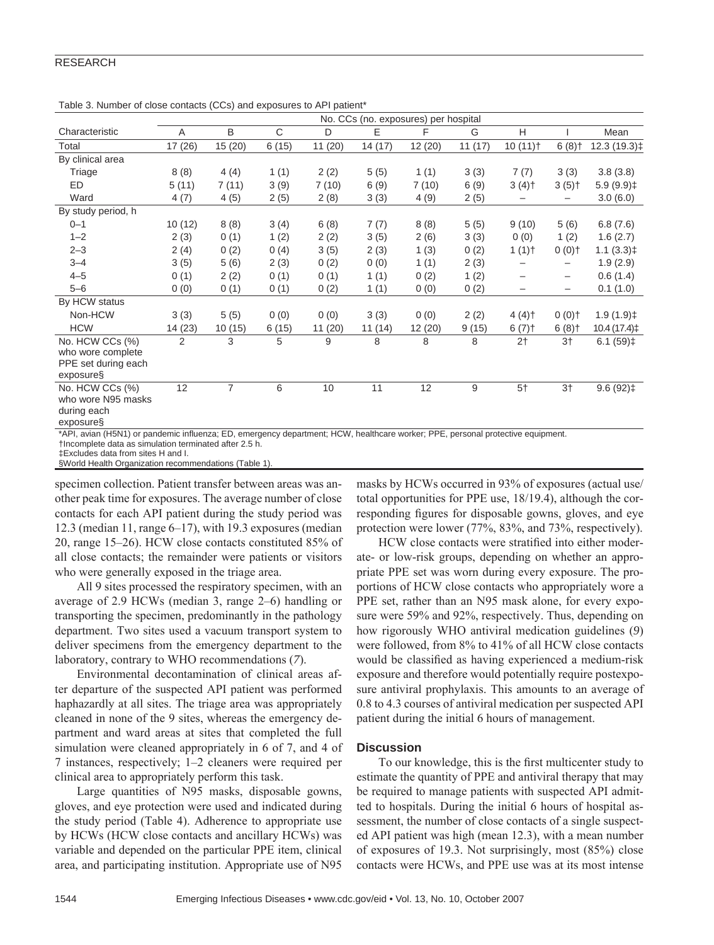# RESEARCH

|                                      | rapid 0. Hambur or 01000 00ma010 (000) and 0xpobarco to his ripationt<br>No. CCs (no. exposures) per hospital |                |       |        |        |         |        |                       |                          |                        |
|--------------------------------------|---------------------------------------------------------------------------------------------------------------|----------------|-------|--------|--------|---------|--------|-----------------------|--------------------------|------------------------|
| Characteristic                       | A                                                                                                             | B              | C     | D      | E      | F       | G      | H                     |                          | Mean                   |
| Total                                | 17 (26)                                                                                                       | 15(20)         | 6(15) | 11(20) | 14(17) | 12 (20) | 11(17) | $10(11)$ <sup>+</sup> | $6(8)$ †                 | 12.3 (19.3)‡           |
| By clinical area                     |                                                                                                               |                |       |        |        |         |        |                       |                          |                        |
| Triage                               | 8(8)                                                                                                          | 4(4)           | 1(1)  | 2(2)   | 5(5)   | 1(1)    | 3(3)   | 7(7)                  | 3(3)                     | 3.8(3.8)               |
| <b>ED</b>                            | 5(11)                                                                                                         | 7(11)          | 3(9)  | 7(10)  | 6(9)   | 7(10)   | 6(9)   | $3(4)$ <sup>+</sup>   | $3(5)$ <sup>+</sup>      | 5.9(9.9)               |
| Ward                                 | 4(7)                                                                                                          | 4(5)           | 2(5)  | 2(8)   | 3(3)   | 4(9)    | 2(5)   |                       |                          | 3.0(6.0)               |
| By study period, h                   |                                                                                                               |                |       |        |        |         |        |                       |                          |                        |
| $0 - 1$                              | 10(12)                                                                                                        | 8(8)           | 3(4)  | 6(8)   | 7(7)   | 8(8)    | 5(5)   | 9(10)                 | 5(6)                     | 6.8(7.6)               |
| $1 - 2$                              | 2(3)                                                                                                          | 0(1)           | 1(2)  | 2(2)   | 3(5)   | 2(6)    | 3(3)   | 0(0)                  | 1(2)                     | 1.6(2.7)               |
| $2 - 3$                              | 2(4)                                                                                                          | 0(2)           | 0(4)  | 3(5)   | 2(3)   | 1(3)    | 0(2)   | 1(1)                  | $0(0)$ 0                 | $1.1(3.3)$ ‡           |
| $3 - 4$                              | 3(5)                                                                                                          | 5(6)           | 2(3)  | 0(2)   | 0(0)   | 1(1)    | 2(3)   |                       |                          | 1.9(2.9)               |
| $4 - 5$                              | 0(1)                                                                                                          | 2(2)           | 0(1)  | 0(1)   | 1(1)   | 0(2)    | 1(2)   |                       | $\overline{\phantom{0}}$ | 0.6(1.4)               |
| $5 - 6$                              | 0(0)                                                                                                          | 0(1)           | 0(1)  | 0(2)   | 1(1)   | 0(0)    | 0(2)   |                       | -                        | 0.1(1.0)               |
| By HCW status                        |                                                                                                               |                |       |        |        |         |        |                       |                          |                        |
| Non-HCW                              | 3(3)                                                                                                          | 5(5)           | 0(0)  | 0(0)   | 3(3)   | 0(0)    | 2(2)   | $4(4)$ <sup>+</sup>   | $0(0)$ 0                 | $1.9(1.9)$ ‡           |
| <b>HCW</b>                           | 14 (23)                                                                                                       | 10(15)         | 6(15) | 11(20) | 11(14) | 12(20)  | 9(15)  | 6(7)                  | $6(8)$ †                 | 10.4(17.4)             |
| No. HCW CCs (%)<br>who wore complete | 2                                                                                                             | 3              | 5     | 9      | 8      | 8       | 8      | 2 <sub>1</sub>        | 3 <sub>1</sub>           | $6.1(59)$ ‡            |
| PPE set during each                  |                                                                                                               |                |       |        |        |         |        |                       |                          |                        |
| exposure§                            |                                                                                                               |                |       |        |        |         |        |                       |                          |                        |
| No. HCW CCs (%)                      | 12                                                                                                            | $\overline{7}$ | 6     | 10     | 11     | 12      | 9      | $5+$                  | 3 <sub>1</sub>           | $9.6(92)$ <sup>±</sup> |
| who wore N95 masks                   |                                                                                                               |                |       |        |        |         |        |                       |                          |                        |
| during each                          |                                                                                                               |                |       |        |        |         |        |                       |                          |                        |
| exposure§                            |                                                                                                               |                |       |        |        |         |        |                       |                          |                        |

|  | Table 3. Number of close contacts (CCs) and exposures to API patient* |
|--|-----------------------------------------------------------------------|
|--|-----------------------------------------------------------------------|

\*API, avian (H5N1) or pandemic influenza; ED, emergency department; HCW, healthcare worker; PPE, personal protective equipment.

†Incomplete data as simulation terminated after 2.5 h.

‡Excludes data from sites H and I. §World Health Organization recommendations (Table 1).

specimen collection. Patient transfer between areas was an-

other peak time for exposures. The average number of close contacts for each API patient during the study period was 12.3 (median 11, range 6–17), with 19.3 exposures (median 20, range 15–26). HCW close contacts constituted 85% of all close contacts; the remainder were patients or visitors who were generally exposed in the triage area.

All 9 sites processed the respiratory specimen, with an average of 2.9 HCWs (median 3, range 2–6) handling or transporting the specimen, predominantly in the pathology department. Two sites used a vacuum transport system to deliver specimens from the emergency department to the laboratory, contrary to WHO recommendations (*7*).

Environmental decontamination of clinical areas after departure of the suspected API patient was performed haphazardly at all sites. The triage area was appropriately cleaned in none of the 9 sites, whereas the emergency department and ward areas at sites that completed the full simulation were cleaned appropriately in 6 of 7, and 4 of 7 instances, respectively; 1–2 cleaners were required per clinical area to appropriately perform this task.

Large quantities of N95 masks, disposable gowns, gloves, and eye protection were used and indicated during the study period (Table 4). Adherence to appropriate use by HCWs (HCW close contacts and ancillary HCWs) was variable and depended on the particular PPE item, clinical area, and participating institution. Appropriate use of N95

masks by HCWs occurred in 93% of exposures (actual use/ total opportunities for PPE use, 18/19.4), although the corresponding figures for disposable gowns, gloves, and eye protection were lower (77%, 83%, and 73%, respectively).

HCW close contacts were stratified into either moderate- or low-risk groups, depending on whether an appropriate PPE set was worn during every exposure. The proportions of HCW close contacts who appropriately wore a PPE set, rather than an N95 mask alone, for every exposure were 59% and 92%, respectively. Thus, depending on how rigorously WHO antiviral medication guidelines (*9*) were followed, from 8% to 41% of all HCW close contacts would be classified as having experienced a medium-risk exposure and therefore would potentially require postexposure antiviral prophylaxis. This amounts to an average of 0.8 to 4.3 courses of antiviral medication per suspected API patient during the initial 6 hours of management.

# **Discussion**

To our knowledge, this is the first multicenter study to estimate the quantity of PPE and antiviral therapy that may be required to manage patients with suspected API admitted to hospitals. During the initial 6 hours of hospital assessment, the number of close contacts of a single suspected API patient was high (mean 12.3), with a mean number of exposures of 19.3. Not surprisingly, most (85%) close contacts were HCWs, and PPE use was at its most intense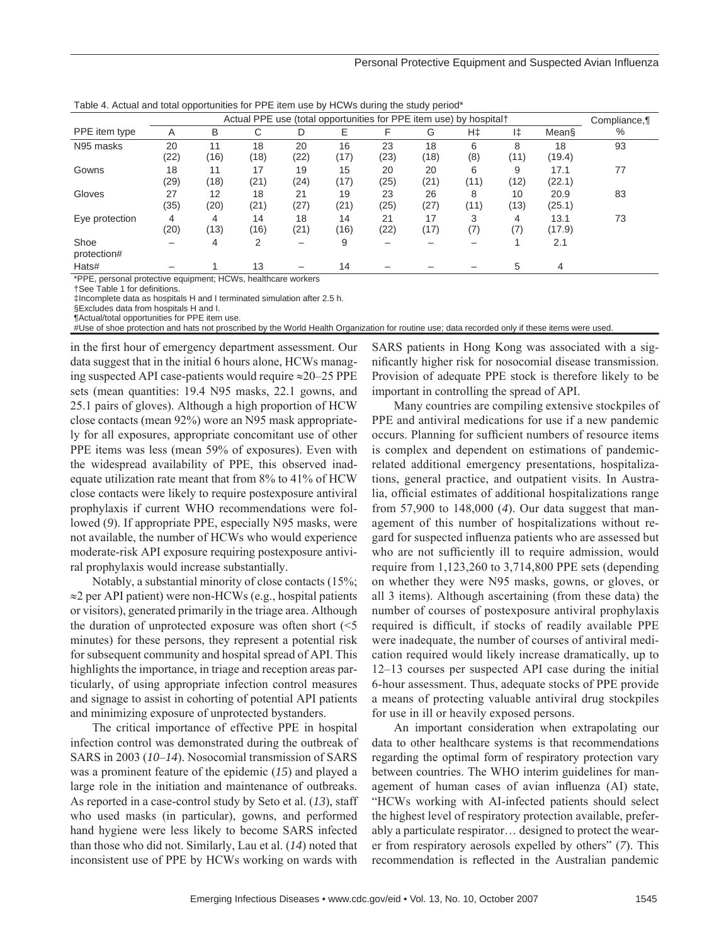Personal Protective Equipment and Suspected Avian Influenza

|                     | .<br>Actual PPE use (total opportunities for PPE item use) by hospital† |            |               |            |            |            |            |           |            | Compliance,    |      |
|---------------------|-------------------------------------------------------------------------|------------|---------------|------------|------------|------------|------------|-----------|------------|----------------|------|
| PPE item type       | Α                                                                       | B          | С             | D          | Ε          | F          | G          | H‡        | l‡         | Mean§          | $\%$ |
| N95 masks           | 20<br>(22)                                                              | 11<br>(16) | 18<br>(18)    | 20<br>(22) | 16<br>(17) | 23<br>(23) | 18<br>(18) | 6<br>(8)  | 8<br>(11)  | 18<br>(19.4)   | 93   |
| Gowns               | 18<br>(29)                                                              | 11<br>(18) | 17<br>(21)    | 19<br>(24) | 15<br>(17) | 20<br>(25) | 20<br>(21) | 6<br>(11) | 9<br>(12)  | 17.1<br>(22.1) | 77   |
| Gloves              | 27<br>(35)                                                              | 12<br>(20) | 18<br>(21)    | 21<br>(27) | 19<br>(21) | 23<br>(25) | 26<br>(27) | 8<br>(11) | 10<br>(13) | 20.9<br>(25.1) | 83   |
| Eye protection      | 4<br>(20)                                                               | 4<br>(13)  | 14<br>(16)    | 18<br>(21) | 14<br>(16) | 21<br>(22) | 17<br>(17) | 3<br>(7)  | 4<br>(7)   | 13.1<br>(17.9) | 73   |
| Shoe<br>protection# |                                                                         | 4          | $\mathcal{P}$ |            | 9          |            |            |           |            | 2.1            |      |
| Hats#               |                                                                         |            | 13            |            | 14         |            |            |           | 5          | 4              |      |

Table 4. Actual and total opportunities for PPE item use by HCWs during the study period\*

\*PPE, personal protective equipment; HCWs, healthcare workers

†See Table 1 for definitions.

‡Incomplete data as hospitals H and I terminated simulation after 2.5 h.

§Excludes data from hospitals H and I.

¶Actual/total opportunities for PPE item use. #Use of shoe protection and hats not proscribed by the World Health Organization for routine use; data recorded only if these items were used.

in the first hour of emergency department assessment. Our data suggest that in the initial 6 hours alone, HCWs managing suspected API case-patients would require ≈20–25 PPE sets (mean quantities: 19.4 N95 masks, 22.1 gowns, and 25.1 pairs of gloves). Although a high proportion of HCW close contacts (mean 92%) wore an N95 mask appropriately for all exposures, appropriate concomitant use of other PPE items was less (mean 59% of exposures). Even with the widespread availability of PPE, this observed inadequate utilization rate meant that from 8% to 41% of HCW close contacts were likely to require postexposure antiviral prophylaxis if current WHO recommendations were followed (*9*). If appropriate PPE, especially N95 masks, were not available, the number of HCWs who would experience moderate-risk API exposure requiring postexposure antiviral prophylaxis would increase substantially.

Notably, a substantial minority of close contacts (15%; ≈2 per API patient) were non-HCWs (e.g., hospital patients or visitors), generated primarily in the triage area. Although the duration of unprotected exposure was often short  $\leq 5$ minutes) for these persons, they represent a potential risk for subsequent community and hospital spread of API. This highlights the importance, in triage and reception areas particularly, of using appropriate infection control measures and signage to assist in cohorting of potential API patients and minimizing exposure of unprotected bystanders.

The critical importance of effective PPE in hospital infection control was demonstrated during the outbreak of SARS in 2003 (*10*–*14*). Nosocomial transmission of SARS was a prominent feature of the epidemic (*15*) and played a large role in the initiation and maintenance of outbreaks. As reported in a case-control study by Seto et al. (*13*), staff who used masks (in particular), gowns, and performed hand hygiene were less likely to become SARS infected than those who did not. Similarly, Lau et al. (*14*) noted that inconsistent use of PPE by HCWs working on wards with

SARS patients in Hong Kong was associated with a significantly higher risk for nosocomial disease transmission. Provision of adequate PPE stock is therefore likely to be important in controlling the spread of API.

Many countries are compiling extensive stockpiles of PPE and antiviral medications for use if a new pandemic occurs. Planning for sufficient numbers of resource items is complex and dependent on estimations of pandemicrelated additional emergency presentations, hospitalizations, general practice, and outpatient visits. In Australia, official estimates of additional hospitalizations range from 57,900 to 148,000 (*4*). Our data suggest that management of this number of hospitalizations without regard for suspected influenza patients who are assessed but who are not sufficiently ill to require admission, would require from 1,123,260 to 3,714,800 PPE sets (depending on whether they were N95 masks, gowns, or gloves, or all 3 items). Although ascertaining (from these data) the number of courses of postexposure antiviral prophylaxis required is difficult, if stocks of readily available PPE were inadequate, the number of courses of antiviral medication required would likely increase dramatically, up to 12–13 courses per suspected API case during the initial 6-hour assessment. Thus, adequate stocks of PPE provide a means of protecting valuable antiviral drug stockpiles for use in ill or heavily exposed persons.

An important consideration when extrapolating our data to other healthcare systems is that recommendations regarding the optimal form of respiratory protection vary between countries. The WHO interim guidelines for management of human cases of avian influenza (AI) state, "HCWs working with AI-infected patients should select the highest level of respiratory protection available, preferably a particulate respirator… designed to protect the wearer from respiratory aerosols expelled by others" (*7*). This recommendation is reflected in the Australian pandemic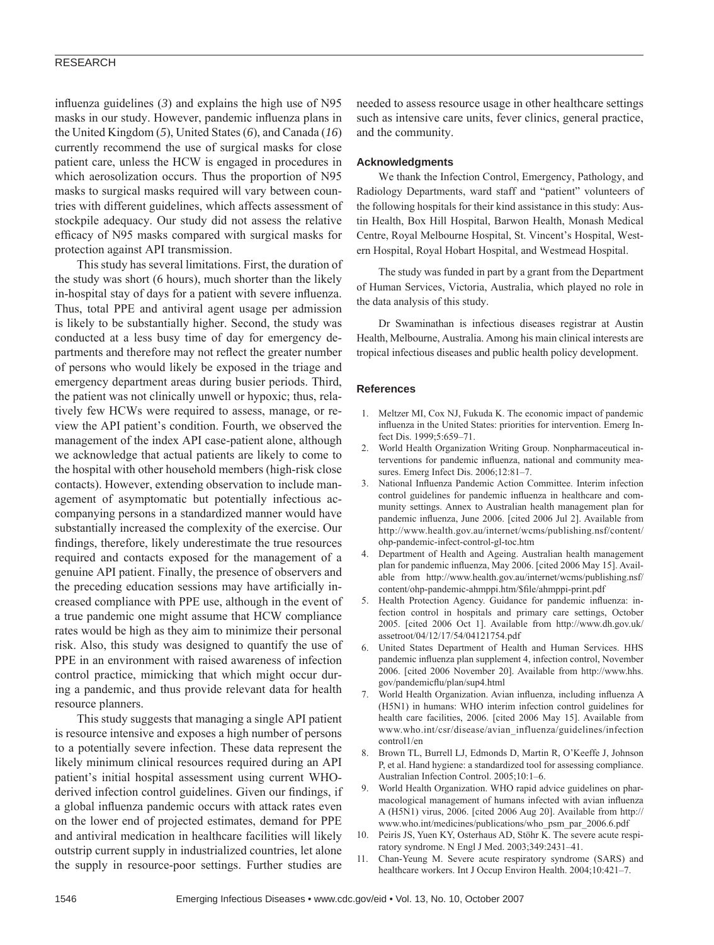## RESEARCH

influenza guidelines  $(3)$  and explains the high use of N95 masks in our study. However, pandemic influenza plans in the United Kingdom (*5*), United States (*6*), and Canada (*16*) currently recommend the use of surgical masks for close patient care, unless the HCW is engaged in procedures in which aerosolization occurs. Thus the proportion of N95 masks to surgical masks required will vary between countries with different guidelines, which affects assessment of stockpile adequacy. Our study did not assess the relative efficacy of N95 masks compared with surgical masks for protection against API transmission.

This study has several limitations. First, the duration of the study was short (6 hours), much shorter than the likely in-hospital stay of days for a patient with severe influenza. Thus, total PPE and antiviral agent usage per admission is likely to be substantially higher. Second, the study was conducted at a less busy time of day for emergency departments and therefore may not reflect the greater number of persons who would likely be exposed in the triage and emergency department areas during busier periods. Third, the patient was not clinically unwell or hypoxic; thus, relatively few HCWs were required to assess, manage, or review the API patient's condition. Fourth, we observed the management of the index API case-patient alone, although we acknowledge that actual patients are likely to come to the hospital with other household members (high-risk close contacts). However, extending observation to include management of asymptomatic but potentially infectious accompanying persons in a standardized manner would have substantially increased the complexity of the exercise. Our findings, therefore, likely underestimate the true resources required and contacts exposed for the management of a genuine API patient. Finally, the presence of observers and the preceding education sessions may have artificially increased compliance with PPE use, although in the event of a true pandemic one might assume that HCW compliance rates would be high as they aim to minimize their personal risk. Also, this study was designed to quantify the use of PPE in an environment with raised awareness of infection control practice, mimicking that which might occur during a pandemic, and thus provide relevant data for health resource planners.

This study suggests that managing a single API patient is resource intensive and exposes a high number of persons to a potentially severe infection. These data represent the likely minimum clinical resources required during an API patient's initial hospital assessment using current WHOderived infection control guidelines. Given our findings, if a global influenza pandemic occurs with attack rates even on the lower end of projected estimates, demand for PPE and antiviral medication in healthcare facilities will likely outstrip current supply in industrialized countries, let alone the supply in resource-poor settings. Further studies are

needed to assess resource usage in other healthcare settings such as intensive care units, fever clinics, general practice, and the community.

## **Acknowledgments**

We thank the Infection Control, Emergency, Pathology, and Radiology Departments, ward staff and "patient" volunteers of the following hospitals for their kind assistance in this study: Austin Health, Box Hill Hospital, Barwon Health, Monash Medical Centre, Royal Melbourne Hospital, St. Vincent's Hospital, Western Hospital, Royal Hobart Hospital, and Westmead Hospital.

The study was funded in part by a grant from the Department of Human Services, Victoria, Australia, which played no role in the data analysis of this study.

Dr Swaminathan is infectious diseases registrar at Austin Health, Melbourne, Australia. Among his main clinical interests are tropical infectious diseases and public health policy development.

#### **References**

- 1. Meltzer MI, Cox NJ, Fukuda K. The economic impact of pandemic influenza in the United States: priorities for intervention. Emerg Infect Dis. 1999;5:659–71.
- 2. World Health Organization Writing Group. Nonpharmaceutical interventions for pandemic influenza, national and community measures. Emerg Infect Dis. 2006;12:81–7.
- 3. National Influenza Pandemic Action Committee. Interim infection control guidelines for pandemic influenza in healthcare and community settings. Annex to Australian health management plan for pandemic influenza, June 2006. [cited 2006 Jul 2]. Available from http://www.health.gov.au/internet/wcms/publishing.nsf/content/ ohp-pandemic-infect-control-gl-toc.htm
- 4. Department of Health and Ageing. Australian health management plan for pandemic influenza, May 2006. [cited 2006 May 15]. Available from http://www.health.gov.au/internet/wcms/publishing.nsf/ content/ohp-pandemic-ahmppi.htm/\$fi le/ahmppi-print.pdf
- Health Protection Agency. Guidance for pandemic influenza: infection control in hospitals and primary care settings, October 2005. [cited 2006 Oct 1]. Available from http://www.dh.gov.uk/ assetroot/04/12/17/54/04121754.pdf
- 6. United States Department of Health and Human Services. HHS pandemic influenza plan supplement 4, infection control, November 2006. [cited 2006 November 20]. Available from http://www.hhs. gov/pandemicflu/plan/sup4.html
- 7. World Health Organization. Avian influenza, including influenza A (H5N1) in humans: WHO interim infection control guidelines for health care facilities, 2006. [cited 2006 May 15]. Available from www.who.int/csr/disease/avian\_influenza/guidelines/infection control1/en
- 8. Brown TL, Burrell LJ, Edmonds D, Martin R, O'Keeffe J, Johnson P, et al. Hand hygiene: a standardized tool for assessing compliance. Australian Infection Control. 2005;10:1–6.
- 9. World Health Organization. WHO rapid advice guidelines on pharmacological management of humans infected with avian influenza A (H5N1) virus, 2006. [cited 2006 Aug 20]. Available from http:// www.who.int/medicines/publications/who\_psm\_par\_2006.6.pdf
- 10. Peiris JS, Yuen KY, Osterhaus AD, Stöhr K. The severe acute respiratory syndrome. N Engl J Med. 2003;349:2431–41.
- 11. Chan-Yeung M. Severe acute respiratory syndrome (SARS) and healthcare workers. Int J Occup Environ Health. 2004;10:421-7.